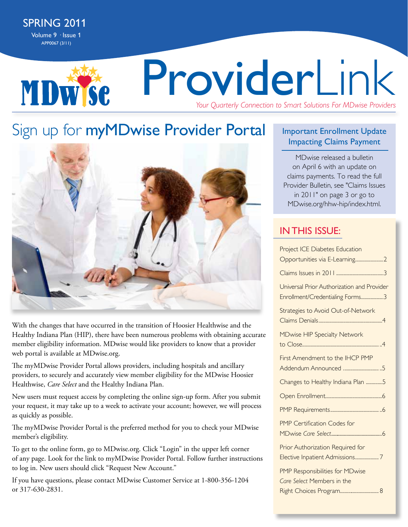MDWSC

# ProviderLink *Your Quarterly Connection to Smart Solutions For MDwise Providers*

## Sign up for myMDwise Provider Portal



With the changes that have occurred in the transition of Hoosier Healthwise and the Healthy Indiana Plan (HIP), there have been numerous problems with obtaining accurate member eligibility information. MDwise would like providers to know that a provider web portal is available at MDwise.org.

The myMDwise Provider Portal allows providers, including hospitals and ancillary providers, to securely and accurately view member eligibility for the MDwise Hoosier Healthwise, *Care Select* and the Healthy Indiana Plan.

New users must request access by completing the online sign-up form. After you submit your request, it may take up to a week to activate your account; however, we will process as quickly as possible.

The myMDwise Provider Portal is the preferred method for you to check your MDwise member's eligibility.

To get to the online form, go to MDwise.org. Click "Login" in the upper left corner of any page. Look for the link to myMDwise Provider Portal. Follow further instructions to log in. New users should click "Request New Account."

If you have questions, please contact MDwise Customer Service at 1-800-356-1204 or 317-630-2831.

#### Important Enrollment Update Impacting Claims Payment

MDwise released a bulletin on April 6 with an update on claims payments. To read the full Provider Bulletin, see "Claims Issues in 2011" on page 3 or go to MDwise.org/hhw-hip/index.html.

### **IN THIS ISSUE:**

| <b>Project ICE Diabetes Education</b>                                                    |
|------------------------------------------------------------------------------------------|
| Opportunities via E-Learning2                                                            |
|                                                                                          |
| Universal Prior Authorization and Provider<br>Enrollment/Credentialing Forms3            |
| Strategies to Avoid Out-of-Network                                                       |
| <b>MDwise HIP Specialty Network</b>                                                      |
| First Amendment to the IHCP PMP<br>Addendum Announced 5                                  |
| Changes to Healthy Indiana Plan 5                                                        |
|                                                                                          |
|                                                                                          |
| PMP Certification Codes for                                                              |
| Prior Authorization Required for<br>Elective Inpatient Admissions7                       |
| PMP Responsibilities for MDwise<br>Care Select Members in the<br>Right Choices Program 8 |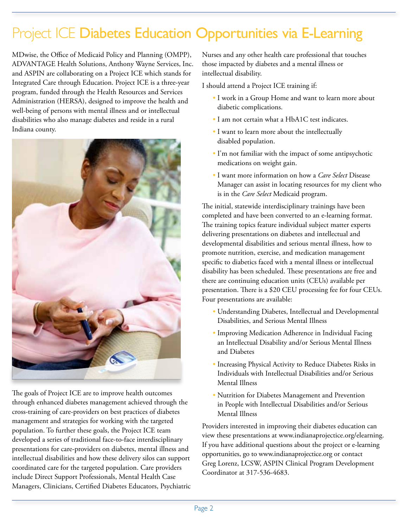## Project ICE Diabetes Education Opportunities via E-Learning

MDwise, the Office of Medicaid Policy and Planning (OMPP), ADVANTAGE Health Solutions, Anthony Wayne Services, Inc. and ASPIN are collaborating on a Project ICE which stands for Integrated Care through Education. Project ICE is a three-year program, funded through the Health Resources and Services Administration (HERSA), designed to improve the health and well-being of persons with mental illness and or intellectual disabilities who also manage diabetes and reside in a rural Indiana county.



The goals of Project ICE are to improve health outcomes through enhanced diabetes management achieved through the cross-training of care-providers on best practices of diabetes management and strategies for working with the targeted population. To further these goals, the Project ICE team developed a series of traditional face-to-face interdisciplinary presentations for care-providers on diabetes, mental illness and intellectual disabilities and how these delivery silos can support coordinated care for the targeted population. Care providers include Direct Support Professionals, Mental Health Case Managers, Clinicians, Certified Diabetes Educators, Psychiatric Nurses and any other health care professional that touches those impacted by diabetes and a mental illness or intellectual disability.

I should attend a Project ICE training if:

- I work in a Group Home and want to learn more about diabetic complications.
- I am not certain what a HbA1C test indicates.
- I want to learn more about the intellectually disabled population.
- I'm not familiar with the impact of some antipsychotic medications on weight gain.
- I want more information on how a *Care Select* Disease Manager can assist in locating resources for my client who is in the *Care Select* Medicaid program.

The initial, statewide interdisciplinary trainings have been completed and have been converted to an e-learning format. The training topics feature individual subject matter experts delivering presentations on diabetes and intellectual and developmental disabilities and serious mental illness, how to promote nutrition, exercise, and medication management specific to diabetics faced with a mental illness or intellectual disability has been scheduled. These presentations are free and there are continuing education units (CEUs) available per presentation. There is a \$20 CEU processing fee for four CEUs. Four presentations are available:

- Understanding Diabetes, Intellectual and Developmental Disabilities, and Serious Mental Illness
- Improving Medication Adherence in Individual Facing an Intellectual Disability and/or Serious Mental Illness and Diabetes
- Increasing Physical Activity to Reduce Diabetes Risks in Individuals with Intellectual Disabilities and/or Serious Mental Illness
- Nutrition for Diabetes Management and Prevention in People with Intellectual Disabilities and/or Serious Mental Illness

Providers interested in improving their diabetes education can view these presentations at www.indianaprojectice.org/elearning. If you have additional questions about the project or e-learning opportunities, go to www.indianaprojectice.org or contact Greg Lorenz, LCSW, ASPIN Clinical Program Development Coordinator at 317-536-4683.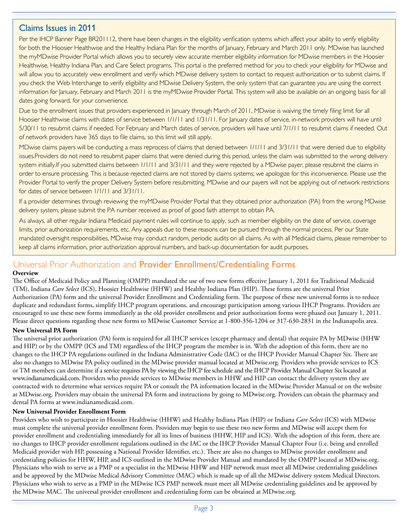#### Claims Issues in 2011

Per the IHCP Banner Page BR201112, there have been changes in the eligibility verification systems which affect your ability to verify eligibility for both the Hoosier Healthwise and the Healthy Indiana Plan for the months of January, February and March 2011 only. MDwise has launched the myMDwise Provider Portal which allows you to securely view accurate member eligibility information for MDwise members in the Hoosier Healthwise, Healthy Indiana Plan, and Care Select programs. This portal is the preferred method for you to check your eligibility for MDwise and will allow you to accurately view enrollment and verify which MDwise delivery system to contact to request authorization or to submit claims. If you check the Web Interchange to verify eligibility and MDwise Delivery System, the only system that can guarantee you are using the correct information for January, February and March 2011 is the myMDwise Provider Portal. This system will also be available on an ongoing basis for all dates going forward, for your convenience.

Due to the enrollment issues that providers experienced in January through March of 2011, MDwise is waiving the timely filing limit for all Hoosier Healthwise claims with dates of service between 1/1/11 and 1/31/11. For January dates of service, in-network providers will have until 5/30/11 to resubmit claims if needed. For February and March dates of service, providers will have until 7/1/11 to resubmit claims if needed. Out of network providers have 365 days to file claims, so this limit will still apply.

MDwise claims payers will be conducting a mass reprocess of claims that denied between 1/1/11 and 3/31/11 that were denied due to eligibility issues.Providers do not need to resubmit paper claims that were denied during this period, unless the claim was submitted to the wrong delivery system initially.If you submitted claims between 1/1/11 and 3/31/11 and they were rejected by a MDwise payer, please resubmit the claims in order to ensure processing. This is because rejected claims are not stored by claims systems; we apologize for this inconvenience. Please use the Provider Portal to verify the proper Delivery System before resubmitting. MDwise and our payers will not be applying out of network restrictions for dates of service between 1/1/11 and 3/31/11.

If a provider determines through reviewing the myMDwise Provider Portal that they obtained prior authorization (PA) from the wrong MDwise delivery system, please submit the PA number received as proof of good faith attempt to obtain PA.

As always, all other regular Indiana Medicaid payment rules will continue to apply, such as member eligibility on the date of service, coverage limits, prior authorization requirements, etc. Any appeals due to these reasons can be pursued through the normal process. Per our State mandated oversight responsibilities, MDwise may conduct random, periodic audits on all claims. As with all Medicaid claims, please remember to keep all claims information, prior authorization approval numbers, and back-up documentation for audit purposes.

### Universal Prior Authorization and Provider Enrollment/Credentialing Forms

#### **Overview**

The Office of Medicaid Policy and Planning (OMPP) mandated the use of two new forms effective January 1, 2011 for Traditional Medicaid (TM), Indiana *Care Select* (ICS), Hoosier Healthwise (HHW) and Healthy Indiana Plan (HIP). These forms are the universal Prior Authorization (PA) form and the universal Provider Enrollment and Credentialing form. The purpose of these new universal forms is to reduce duplicate and redundant forms, simplify IHCP program operations, and encourage participation among various IHCP Programs. Providers are encouraged to use these new forms immediately as the old provider enrollment and prior authorization forms were phased out January 1, 2011. Please direct questions regarding these new forms to MDwise Customer Service at 1-800-356-1204 or 317-630-2831 in the Indianapolis area.

#### **New Universal PA Form**

The universal prior authorization (PA) form is required for all IHCP services (except pharmacy and dental) that require PA by MDwise (HHW and HIP) or by the OMPP (ICS and TM) regardless of the IHCP program the member is in. With the adoption of this form, there are no changes to the IHCP PA regulations outlined in the Indiana Administrative Code (IAC) or the IHCP Provider Manual Chapter Six. There are also no changes to MDwise PA policy outlined in the MDwise provider manual located at MDwise.org. Providers who provide services to ICS or TM members can determine if a service requires PA by viewing the IHCP fee schedule and the IHCP Provider Manual Chapter Six located at www.indianamedicaid.com. Providers who provide services to MDwise members in HHW and HIP can contact the delivery system they are contracted with to determine what services require PA or consult the PA information located in the MDwise Provider Manual or on the website at MDwise.org. Providers may obtain the universal PA form and instructions by going to MDwise.org. Providers can obtain the pharmacy and dental PA forms at www.indianamedicaid.com.

#### **New Universal Provider Enrollment Form**

Providers who wish to participate in Hoosier Healthwise (HHW) and Healthy Indiana Plan (HIP) or Indiana *Care Select* (ICS) with MDwise must complete the universal provider enrollment form. Providers may begin to use these two new forms and MDwise will accept them for provider enrollment and credentialing immediately for all its lines of business (HHW, HIP and ICS). With the adoption of this form, there are no changes to IHCP provider enrollment regulations outlined in the IAC or the IHCP Provider Manual Chapter Four (i.e. being and enrolled Medicaid provider with HP, possessing a National Provider Identifier, etc.). There are also no changes to MDwise provider enrollment and credentialing policies for HHW, HIP, and ICS outlined in the MDwise Provider Manual and mandated by the OMPP located at MDwise.org. Physicians who wish to serve as a PMP or a specialist in the MDwise HHW and HIP network must meet all MDwise credentialing guidelines and be approved by the MDwise Medical Advisory Committee (MAC) which is made up of all the MDwise delivery system Medical Directors. Physicians who wish to serve as a PMP in the MDwise ICS PMP network must meet all MDwise credentialing guidelines and be approved by the MDwise MAC. The universal provider enrollment and credentialing form can be obtained at MDwise.org.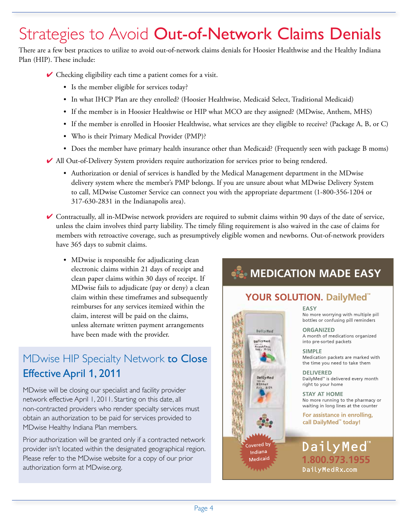## Strategies to Avoid Out-of-Network Claims Denials

There are a few best practices to utilize to avoid out-of-network claims denials for Hoosier Healthwise and the Healthy Indiana Plan (HIP). These include:

- $\vee$  Checking eligibility each time a patient comes for a visit.
	- Is the member eligible for services today?
	- In what IHCP Plan are they enrolled? (Hoosier Healthwise, Medicaid Select, Traditional Medicaid)
	- If the member is in Hoosier Healthwise or HIP what MCO are they assigned? (MDwise, Anthem, MHS)
	- If the member is enrolled in Hoosier Healthwise, what services are they eligible to receive? (Package A, B, or C)
	- Who is their Primary Medical Provider (PMP)?
	- Does the member have primary health insurance other than Medicaid? (Frequently seen with package B moms)
- ✔ All Out-of-Delivery System providers require authorization for services prior to being rendered.
	- Authorization or denial of services is handled by the Medical Management department in the MDwise delivery system where the member's PMP belongs. If you are unsure about what MDwise Delivery System to call, MDwise Customer Service can connect you with the appropriate department (1-800-356-1204 or 317-630-2831 in the Indianapolis area).
- ✔ Contractually, all in-MDwise network providers are required to submit claims within 90 days of the date of service, unless the claim involves third party liability. The timely filing requirement is also waived in the case of claims for members with retroactive coverage, such as presumptively eligible women and newborns. Out-of-network providers have 365 days to submit claims.
	- MDwise is responsible for adjudicating clean electronic claims within 21 days of receipt and clean paper claims within 30 days of receipt. If MDwise fails to adjudicate (pay or deny) a clean claim within these timeframes and subsequently reimburses for any services itemized within the claim, interest will be paid on the claims, unless alternate written payment arrangements have been made with the provider.

### MDwise HIP Specialty Network to Close Effective April 1, 2011

MDwise will be closing our specialist and facility provider network effective April 1, 2011. Starting on this date, all non-contracted providers who render specialty services must obtain an authorization to be paid for services provided to MDwise Healthy Indiana Plan members.

Prior authorization will be granted only if a contracted network provider isn't located within the designated geographical region. Please refer to the MDwise website for a copy of our prior authorization form at MDwise.org.

### **EL MEDICATION MADE EASY**

#### YOUR SOLUTION. DailyMed<sup>"</sup>



**EASY** No more worrying with multiple pill bottles or confusing pill reminders

**ORGANIZED** A month of medications organized into pre-sorted packets

**SIMPLE** Medication packets are marked with the time you need to take them

**DELIVERED** DailyMed<sup>™</sup> is delivered every month right to your home

**STAY AT HOME** No more running to the pharmacy or waiting in long lines at the counter

For assistance in enrolling, call DailyMed" today!

DailyMed 1.800.973.1955 DailyMedRx.com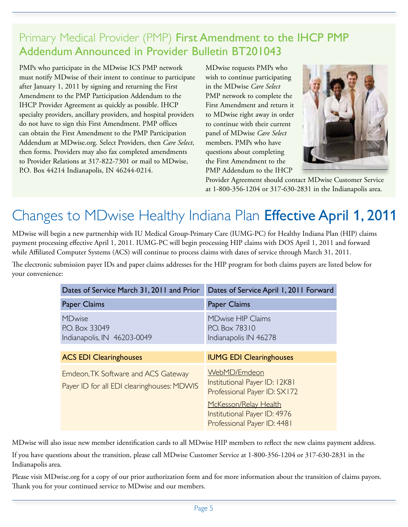### Primary Medical Provider (PMP) First Amendment to the IHCP PMP Addendum Announced in Provider Bulletin BT201043

PMPs who participate in the MDwise ICS PMP network must notify MDwise of their intent to continue to participate after January 1, 2011 by signing and returning the First Amendment to the PMP Participation Addendum to the IHCP Provider Agreement as quickly as possible. IHCP specialty providers, ancillary providers, and hospital providers do not have to sign this First Amendment. PMP offices can obtain the First Amendment to the PMP Participation Addendum at MDwise.org. Select Providers, then *Care Select*, then forms. Providers may also fax completed amendments to Provider Relations at 317-822-7301 or mail to MDwise, P.O. Box 44214 Indianapolis, IN 46244-0214.

MDwise requests PMPs who wish to continue participating in the MDwise *Care Select* PMP network to complete the First Amendment and return it to MDwise right away in order to continue with their current panel of MDwise *Care Select*  members. PMPs who have questions about completing the First Amendment to the PMP Addendum to the IHCP



Provider Agreement should contact MDwise Customer Service at 1-800-356-1204 or 317-630-2831 in the Indianapolis area.

## Changes to MDwise Healthy Indiana Plan Effective April 1, 2011

MDwise will begin a new partnership with IU Medical Group-Primary Care (IUMG-PC) for Healthy Indiana Plan (HIP) claims payment processing effective April 1, 2011. IUMG-PC will begin processing HIP claims with DOS April 1, 2011 and forward while Affiliated Computer Systems (ACS) will continue to process claims with dates of service through March 31, 2011.

The electronic submission payer IDs and paper claims addresses for the HIP program for both claims payers are listed below for your convenience:

| Dates of Service March 31, 2011 and Prior                                         | Dates of Service April 1, 2011 Forward                                               |
|-----------------------------------------------------------------------------------|--------------------------------------------------------------------------------------|
| Paper Claims                                                                      | Paper Claims                                                                         |
| <b>MDwise</b><br>P.O. Box 33049<br>Indianapolis, IN 46203-0049                    | <b>MDwise HIP Claims</b><br>P.O. Box 78310<br>Indianapolis IN 46278                  |
| <b>ACS EDI Clearinghouses</b>                                                     | <b>IUMG EDI Clearinghouses</b>                                                       |
| Emdeon, TK Software and ACS Gateway<br>Payer ID for all EDI clearinghouses: MDWIS | WebMD/Emdeon<br>Institutional Payer ID: 12K81<br>Professional Payer ID: SX172        |
|                                                                                   | McKesson/Relay Health<br>Institutional Payer ID: 4976<br>Professional Payer ID: 4481 |

MDwise will also issue new member identification cards to all MDwise HIP members to reflect the new claims payment address.

If you have questions about the transition, please call MDwise Customer Service at 1-800-356-1204 or 317-630-2831 in the Indianapolis area.

Please visit MDwise.org for a copy of our prior authorization form and for more information about the transition of claims payors. Thank you for your continued service to MDwise and our members.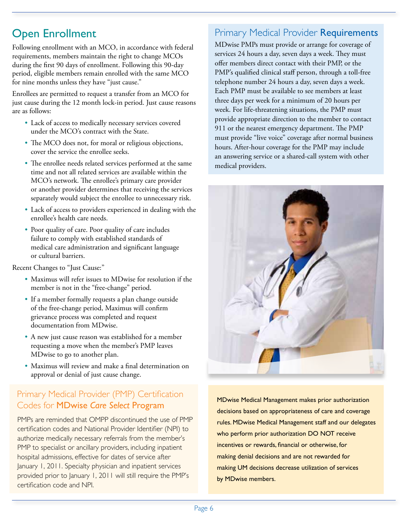### Open Enrollment

Following enrollment with an MCO, in accordance with federal requirements, members maintain the right to change MCOs during the first 90 days of enrollment. Following this 90-day period, eligible members remain enrolled with the same MCO for nine months unless they have "just cause."

Enrollees are permitted to request a transfer from an MCO for just cause during the 12 month lock-in period. Just cause reasons are as follows:

- Lack of access to medically necessary services covered under the MCO's contract with the State.
- The MCO does not, for moral or religious objections, cover the service the enrollee seeks.
- The enrollee needs related services performed at the same time and not all related services are available within the MCO's network. The enrollee's primary care provider or another provider determines that receiving the services separately would subject the enrollee to unnecessary risk.
- Lack of access to providers experienced in dealing with the enrollee's health care needs.
- Poor quality of care. Poor quality of care includes failure to comply with established standards of medical care administration and significant language or cultural barriers.

Recent Changes to "Just Cause:"

- Maximus will refer issues to MDwise for resolution if the member is not in the "free-change" period.
- If a member formally requests a plan change outside of the free-change period, Maximus will confirm grievance process was completed and request documentation from MDwise.
- A new just cause reason was established for a member requesting a move when the member's PMP leaves MDwise to go to another plan.
- Maximus will review and make a final determination on approval or denial of just cause change.

#### Primary Medical Provider (PMP) Certification External products of the conduct of the program MDwise Medical Management makes prior authorization<br>Codes for MDwise *Care Select Program*

PMPs are reminded that OMPP discontinued the use of PMP certification codes and National Provider Identifier (NPI) to authorize medically necessary referrals from the member's PMP to specialist or ancillary providers, including inpatient hospital admissions, effective for dates of service after January 1, 2011. Specialty physician and inpatient services provided prior to January 1, 2011 will still require the PMP's certification code and NPI.

#### **Primary Medical Provider Requirements**

MDwise PMPs must provide or arrange for coverage of services 24 hours a day, seven days a week. They must offer members direct contact with their PMP, or the PMP's qualified clinical staff person, through a toll-free telephone number 24 hours a day, seven days a week. Each PMP must be available to see members at least three days per week for a minimum of 20 hours per week. For life-threatening situations, the PMP must provide appropriate direction to the member to contact 911 or the nearest emergency department. The PMP must provide "live voice" coverage after normal business hours. After-hour coverage for the PMP may include an answering service or a shared-call system with other medical providers.



decisions based on appropriateness of care and coverage rules. MDwise Medical Management staff and our delegates who perform prior authorization DO NOT receive incentives or rewards, financial or otherwise, for making denial decisions and are not rewarded for making UM decisions decrease utilization of services by MDwise members.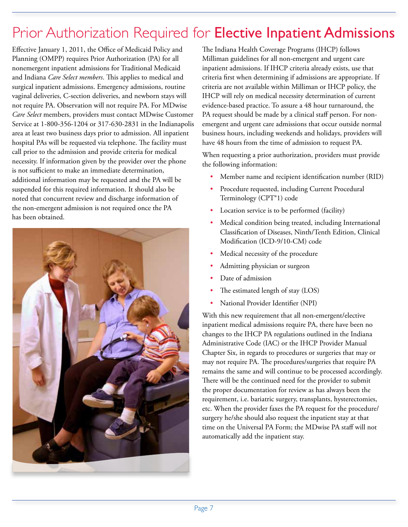## Prior Authorization Required for Elective Inpatient Admissions

Effective January 1, 2011, the Office of Medicaid Policy and Planning (OMPP) requires Prior Authorization (PA) for all nonemergent inpatient admissions for Traditional Medicaid and Indiana *Care Select members*. This applies to medical and surgical inpatient admissions. Emergency admissions, routine vaginal deliveries, C-section deliveries, and newborn stays will not require PA. Observation will not require PA. For MDwise *Care Select* members, providers must contact MDwise Customer Service at 1-800-356-1204 or 317-630-2831 in the Indianapolis area at least two business days prior to admission. All inpatient hospital PAs will be requested via telephone. The facility must call prior to the admission and provide criteria for medical necessity. If information given by the provider over the phone is not sufficient to make an immediate determination, additional information may be requested and the PA will be suspended for this required information. It should also be noted that concurrent review and discharge information of the non-emergent admission is not required once the PA has been obtained.



The Indiana Health Coverage Programs (IHCP) follows Milliman guidelines for all non-emergent and urgent care inpatient admissions. If IHCP criteria already exists, use that criteria first when determining if admissions are appropriate. If criteria are not available within Milliman or IHCP policy, the IHCP will rely on medical necessity determination of current evidence-based practice. To assure a 48 hour turnaround, the PA request should be made by a clinical staff person. For nonemergent and urgent care admissions that occur outside normal business hours, including weekends and holidays, providers will have 48 hours from the time of admission to request PA.

When requesting a prior authorization, providers must provide the following information:

- Member name and recipient identification number (RID)
- Procedure requested, including Current Procedural Terminology (CPT®1) code
- Location service is to be performed (facility)
- Medical condition being treated, including International Classification of Diseases, Ninth/Tenth Edition, Clinical Modification (ICD-9/10-CM) code
- Medical necessity of the procedure
- Admitting physician or surgeon
- Date of admission
- The estimated length of stay (LOS)
- National Provider Identifier (NPI)

With this new requirement that all non-emergent/elective inpatient medical admissions require PA, there have been no changes to the IHCP PA regulations outlined in the Indiana Administrative Code (IAC) or the IHCP Provider Manual Chapter Six, in regards to procedures or surgeries that may or may not require PA. The procedures/surgeries that require PA remains the same and will continue to be processed accordingly. There will be the continued need for the provider to submit the proper documentation for review as has always been the requirement, i.e. bariatric surgery, transplants, hysterectomies, etc. When the provider faxes the PA request for the procedure/ surgery he/she should also request the inpatient stay at that time on the Universal PA Form; the MDwise PA staff will not automatically add the inpatient stay.